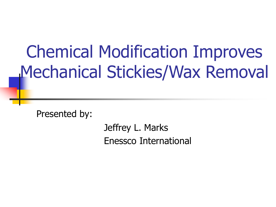# Chemical Modification Improves Mechanical Stickies/Wax Removal

Presented by:

Jeffrey L. Marks Enessco International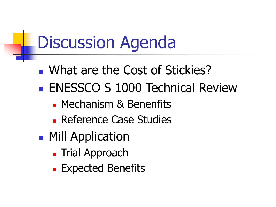# Discussion Agenda

- What are the Cost of Stickies?
- **ENESSCO S 1000 Technical Review** 
	- **Mechanism & Benenfits**
	- **Reference Case Studies**
- **Mill Application** 
	- **Trial Approach**
	- **Expected Benefits**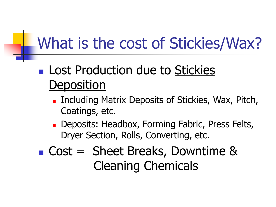### **Lost Production due to Stickies Deposition**

- **Including Matrix Deposits of Stickies, Wax, Pitch,** Coatings, etc.
- **Deposits: Headbox, Forming Fabric, Press Felts,** Dryer Section, Rolls, Converting, etc.

### Cost = Sheet Breaks, Downtime & Cleaning Chemicals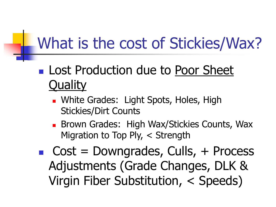- **Lost Production due to Poor Sheet Quality** 
	- **Number Canades: Light Spots, Holes, High Light** Stickies/Dirt Counts
	- **Brown Grades: High Wax/Stickies Counts, Wax** Migration to Top Ply, < Strength
- $\blacksquare$  Cost = Downgrades, Culls, + Process Adjustments (Grade Changes, DLK & Virgin Fiber Substitution, < Speeds)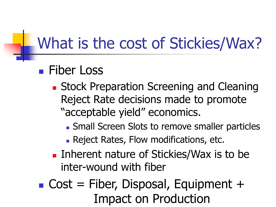#### **Fiber Loss**

- **Stock Preparation Screening and Cleaning** Reject Rate decisions made to promote "acceptable yield" economics.
	- Small Screen Slots to remove smaller particles
	- **Reject Rates, Flow modifications, etc.**
- **Inherent nature of Stickies/Wax is to be** inter-wound with fiber
- $\blacksquare$  Cost = Fiber, Disposal, Equipment + Impact on Production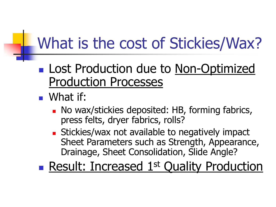- **Lost Production due to Non-Optimized** Production Processes
- What if:
	- **No wax/stickies deposited: HB, forming fabrics,** press felts, dryer fabrics, rolls?
	- **Stickies/wax not available to negatively impact** Sheet Parameters such as Strength, Appearance, Drainage, Sheet Consolidation, Slide Angle?

**Result: Increased 1st Quality Production**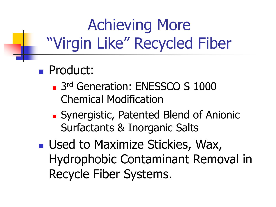## Achieving More "Virgin Like" Recycled Fiber

- **Product:** 
	- 3rd Generation: ENESSCO S 1000 Chemical Modification
	- Synergistic, Patented Blend of Anionic Surfactants & Inorganic Salts
- **Used to Maximize Stickies, Wax,** Hydrophobic Contaminant Removal in Recycle Fiber Systems.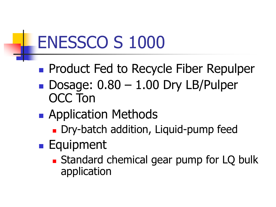# ENESSCO S 1000

- **Product Fed to Recycle Fiber Repulper**
- Dosage:  $0.80 1.00$  Dry LB/Pulper OCC Ton
- **Application Methods** 
	- Dry-batch addition, Liquid-pump feed
- **Equipment** 
	- **Standard chemical gear pump for LQ bulk** application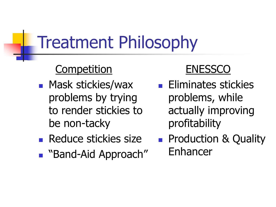# Treatment Philosophy

#### **Competition**

- **Nask stickies/wax** problems by trying to render stickies to be non-tacky
- **Reduce stickies size**
- "Band-Aid Approach"

#### **ENESSCO**

- **Eliminates stickies** problems, while actually improving profitability
- **Production & Quality** Enhancer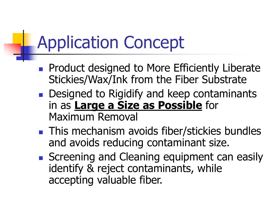# Application Concept

- **Product designed to More Efficiently Liberate** Stickies/Wax/Ink from the Fiber Substrate
- **Designed to Rigidify and keep contaminants** in as **Large a Size as Possible** for Maximum Removal
- **This mechanism avoids fiber/stickies bundles** and avoids reducing contaminant size.
- Screening and Cleaning equipment can easily identify & reject contaminants, while accepting valuable fiber.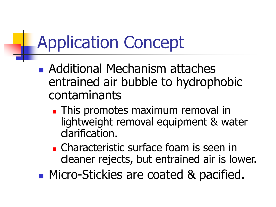# Application Concept

- Additional Mechanism attaches entrained air bubble to hydrophobic contaminants
	- **This promotes maximum removal in** lightweight removal equipment & water clarification.
	- **Characteristic surface foam is seen in** cleaner rejects, but entrained air is lower.
- **Micro-Stickies are coated & pacified.**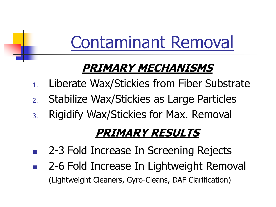# Contaminant Removal

### **PRIMARY MECHANISMS**

- 1. Liberate Wax/Stickies from Fiber Substrate
- 2. Stabilize Wax/Stickies as Large Particles
- 3. Rigidify Wax/Stickies for Max. Removal

### **PRIMARY RESULTS**

- 2-3 Fold Increase In Screening Rejects
- 2-6 Fold Increase In Lightweight Removal (Lightweight Cleaners, Gyro-Cleans, DAF Clarification)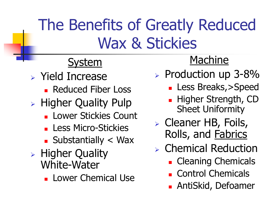## The Benefits of Greatly Reduced Wax & Stickies

#### **System**

- Yield Increase
	- **Reduced Fiber Loss**
- **EXA** Higher Quality Pulp
	- **Lower Stickies Count**
	- **Less Micro-Stickies**
	- $\blacksquare$  Substantially  $\lt$  Wax
- $\triangleright$  Higher Quality White-Water
	- **Lower Chemical Use**

#### Machine

- $\triangleright$  Production up 3-8%
	- **Less Breaks, > Speed**
	- **Higher Strength, CD** Sheet Uniformity
- Cleaner HB, Foils, Rolls, and Fabrics
- Chemical Reduction
	- **Cleaning Chemicals**
	- Control Chemicals
	- AntiSkid, Defoamer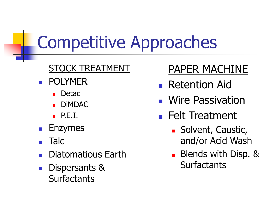# Competitive Approaches

#### **STOCK TREATMENT**

- POLYMER
	- Detac
	- DiMDAC
	- $\blacksquare$  P.E.I.
- Enzymes
- Talc
- Diatomatious Earth
- Dispersants & **Surfactants**

### PAPER MACHINE

- **Retention Aid**
- **Nire Passivation**
- **Felt Treatment** 
	- **Solvent, Caustic,** and/or Acid Wash
	- **Blends with Disp. & Surfactants**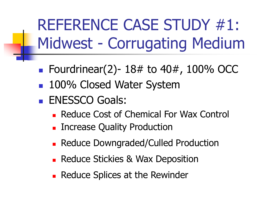REFERENCE CASE STUDY #1: Midwest - Corrugating Medium

- Fourdrinear(2)-  $18#$  to  $40#$ ,  $100\%$  OCC
- 100% Closed Water System
- **ENESSCO Goals:** 
	- **Reduce Cost of Chemical For Wax Control**
	- **Increase Quality Production**
	- **Reduce Downgraded/Culled Production**
	- **Reduce Stickies & Wax Deposition**
	- **Reduce Splices at the Rewinder**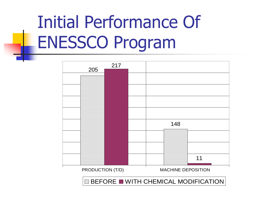# Initial Performance Of ENESSCO Program



 $\blacksquare$  BEFORE  $\blacksquare$  WITH CHEMICAL MODIFICATION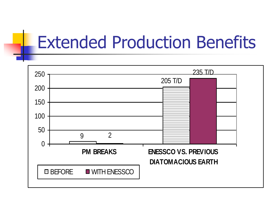## Extended Production Benefits

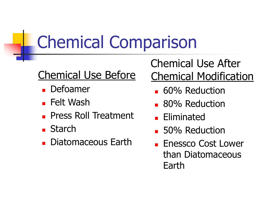# Chemical Comparison

#### Chemical Use Before

- **Defoamer**
- **Felt Wash**
- **Press Roll Treatment**
- **Starch**
- **Diatomaceous Earth**

Chemical Use After Chemical Modification

- **60% Reduction**
- **80% Reduction**
- **Eliminated**
- **50% Reduction**
- **Enessco Cost Lower** than Diatomaceous Earth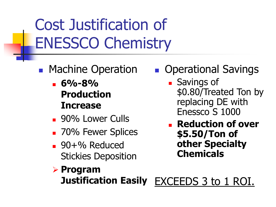Cost Justification of ENESSCO Chemistry

- **Machine Operation** 
	- **6%-8% Production Increase**
	- **90% Lower Culls**
	- **70% Fewer Splices**
	- 90+% Reduced Stickies Deposition
- **Derational Savings** 
	- **Savings of** \$0.80/Treated Ton by replacing DE with Enessco S 1000
	- **Reduction of over \$5.50/Ton of other Specialty Chemicals**
- **Program Justification Easily** EXCEEDS 3 to 1 ROI.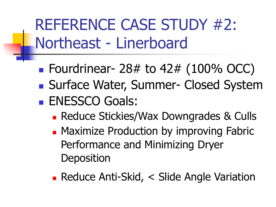REFERENCE CASE STUDY #2: Northeast - Linerboard

- **Fourdrinear- 28# to 42# (100% OCC)**
- Surface Water, Summer- Closed System **ENESSCO Goals:** 
	- **Reduce Stickies/Wax Downgrades & Culls**
	- **Maximize Production by improving Fabric** Performance and Minimizing Dryer **Deposition**
	- Reduce Anti-Skid, < Slide Angle Variation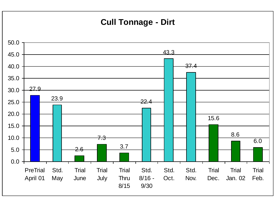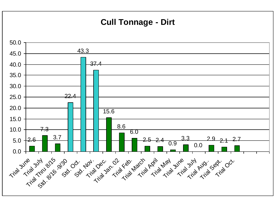#### **Cull Tonnage - Dirt**

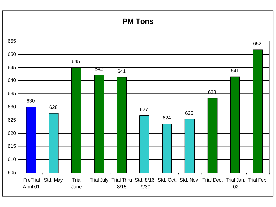#### **PM Tons**

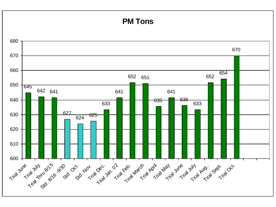#### **PM Tons**

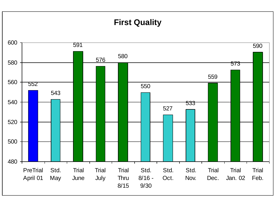#### **First Quality**

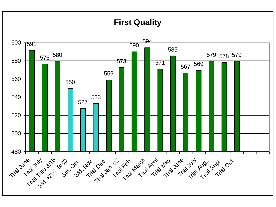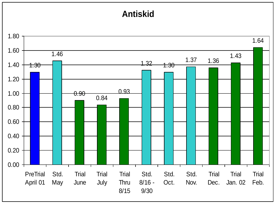#### **Antiskid**

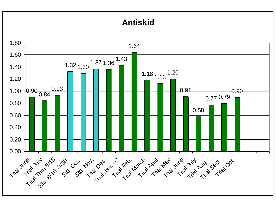#### **Antiskid**

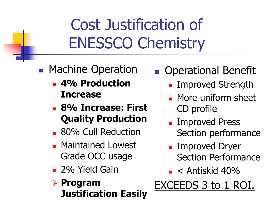## Cost Justification of ENESSCO Chemistry

#### **• Machine Operation**

- **4% Production Increase**
- **8% Increase: First Quality Production**
- **80% Cull Reduction**
- **Maintained Lowest** Grade OCC usage
- **2% Yield Gain**

#### **Program Justification Easily**

#### Operational Benefit

- Improved Strength
- **More uniform sheet** CD profile
- **Improved Press** Section performance
- Improved Dryer Section Performance
- $\blacksquare$  < Antiskid 40%

### EXCEEDS 3 to 1 ROI.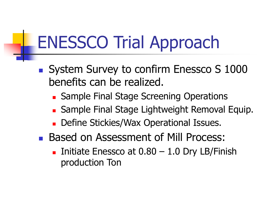# ENESSCO Trial Approach

- System Survey to confirm Enessco S 1000 benefits can be realized.
	- **Sample Final Stage Screening Operations**
	- **Sample Final Stage Lightweight Removal Equip.**
	- **Define Stickies/Wax Operational Issues.**
- **Based on Assessment of Mill Process:** 
	- Initiate Enessco at  $0.80 1.0$  Dry LB/Finish production Ton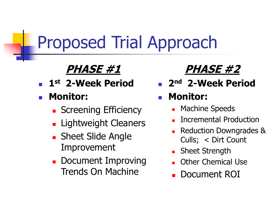# Proposed Trial Approach

### **PHASE #1**

- **1st 2-Week Period**
- **Monitor:**
	- **Screening Efficiency**
	- **Lightweight Cleaners**
	- **Sheet Slide Angle** Improvement
	- **Document Improving** Trends On Machine

### **PHASE #2**

**2nd 2-Week Period**

#### **Monitor:**

- Machine Speeds
- Incremental Production
- Reduction Downgrades & Culls; < Dirt Count
- Sheet Strength
- Other Chemical Use
- Document ROI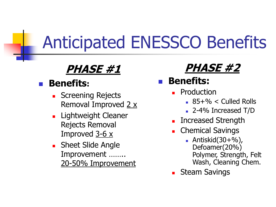# Anticipated ENESSCO Benefits

#### **PHASE #1**

#### **Benefits:**

- **Screening Rejects** Removal Improved  $2 x$
- **Lightweight Cleaner** Rejects Removal Improved 3-6 x
- **Sheet Slide Angle** Improvement …….. 20-50% Improvement

### **PHASE #2**

#### **Benefits:**

- Production
	- $85+% <$  Culled Rolls
	- 2-4% Increased T/D
- **Increased Strength**
- Chemical Savings
	- $\blacksquare$  Antiskid(30+%), Defoamer(20%) Polymer, Strength, Felt Wash, Cleaning Chem.
- **Steam Savings**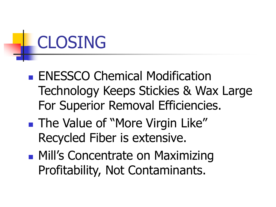# CLOSING

- **ENESSCO Chemical Modification** Technology Keeps Stickies & Wax Large For Superior Removal Efficiencies.
- **The Value of "More Virgin Like"** Recycled Fiber is extensive.
- **Mill's Concentrate on Maximizing** Profitability, Not Contaminants.